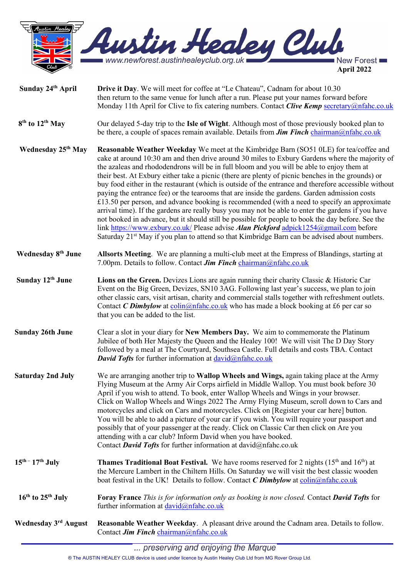

- **Sunday 24th April Drive it Day**. We will meet for coffee at "Le Chateau", Cadnam for about 10.30 then return to the same venue for lunch after a run. Please put your names forward before Monday 11th April for Clive to fix catering numbers. Contact *Clive Kemp* [secretary@nfahc.co.uk](mailto:secretary@nfahc.co.uk)  **8th to 12th May** Our delayed 5-day trip to the **Isle of Wight**. Although most of those previously booked plan to be there, a couple of spaces remain available. Details from *Jim Finch* [chairman@nfahc.co.uk](mailto:chairman@nfahc.co.uk) **Wednesday 25th May Reasonable Weather Weekday** We meet at the Kimbridge Barn (SO51 0LE) for tea/coffee and cake at around 10:30 am and then drive around 30 miles to Exbury Gardens where the majority of the azaleas and rhododendrons will be in full bloom and you will be able to enjoy them at their best. At Exbury either take a picnic (there are plenty of picnic benches in the grounds) or buy food either in the restaurant (which is outside of the entrance and therefore accessible without paying the entrance fee) or the tearooms that are inside the gardens. Garden admission costs  $£13.50$  per person, and advance booking is recommended (with a need to specify an approximate arrival time). If the gardens are really busy you may not be able to enter the gardens if you have not booked in advance, but it should still be possible for people to book the day before. See the link<https://www.exbury.co.uk/> Please advise *Alan Pickford [adpick1254@gmail.com](mailto:adpick1254@gmail.com) before* Saturday 21<sup>st</sup> May if you plan to attend so that Kimbridge Barn can be advised about numbers. **Wednesday 8th June Allsorts Meeting**. We are planning a multi-club meet at the Empress of Blandings, starting at 7.00pm. Details to follow. Contact *Jim Finch* [chairman@nfahc.co.uk](mailto:chairman@nfahc.co.uk)
- **Sunday 12th June Lions on the Green.** Devizes Lions are again running their charity Classic & Historic Car Event on the Big Green, Devizes, SN10 3AG. Following last year's success, we plan to join other classic cars, visit artisan, charity and commercial stalls together with refreshment outlets. Contact *C* Dimbylow at [colin@nfahc.co.uk](mailto:colin@nfahc.co.uk) who has made a block booking at £6 per car so that you can be added to the list.
- **Sunday 26th June** Clear a slot in your diary for **New Members Day.** We aim to commemorate the Platinum Jubilee of both Her Majesty the Queen and the Healey 100! We will visit The D Day Story followed by a meal at The Courtyard, Southsea Castle. Full details and costs TBA. Contact *David Tofts* for further information at [david@nfahc.co.uk](mailto:david@nfahc.co.uk)
- **Saturday 2nd July** We are arranging another trip to **Wallop Wheels and Wings,** again taking place at the Army Flying Museum at the Army Air Corps airfield in Middle Wallop. You must book before 30 April if you wish to attend. To book, enter Wallop Wheels and Wings in your browser. Click on Wallop Wheels and Wings 2022 The Army Flying Museum, scroll down to Cars and motorcycles and click on Cars and motorcycles. Click on [Register your car here] button. You will be able to add a picture of your car if you wish. You will require your passport and possibly that of your passenger at the ready. Click on Classic Car then click on Are you attending with a car club? Inform David when you have booked. Contact *David Tofts* for further information at [david@nfahc.co.uk](mailto:david@nfahc.co.uk)
- **15<sup>th</sup> 17<sup>th</sup> July Thames Traditional Boat Festival.** We have rooms reserved for 2 nights (15<sup>th</sup> and 16<sup>th</sup>) at the Mercure Lambert in the Chiltern Hills. On Saturday we will visit the best classic wooden boat festival in the UK! Details to follow. Contact *C Dimbylow* at [colin@nfahc.co.uk](mailto:colin@nfahc.co.uk)
- **16th to 25th July Foray France** *This is for information only as booking is now closed.* Contact *David Tofts* for further information at  $david@nfahc.co.uk$

**Wednesday 3rd August Reasonable Weather Weekday**. A pleasant drive around the Cadnam area. Details to follow. Contact *Jim Finch* [chairman@nfahc.co.uk](mailto:chairman@nfahc.co.uk)